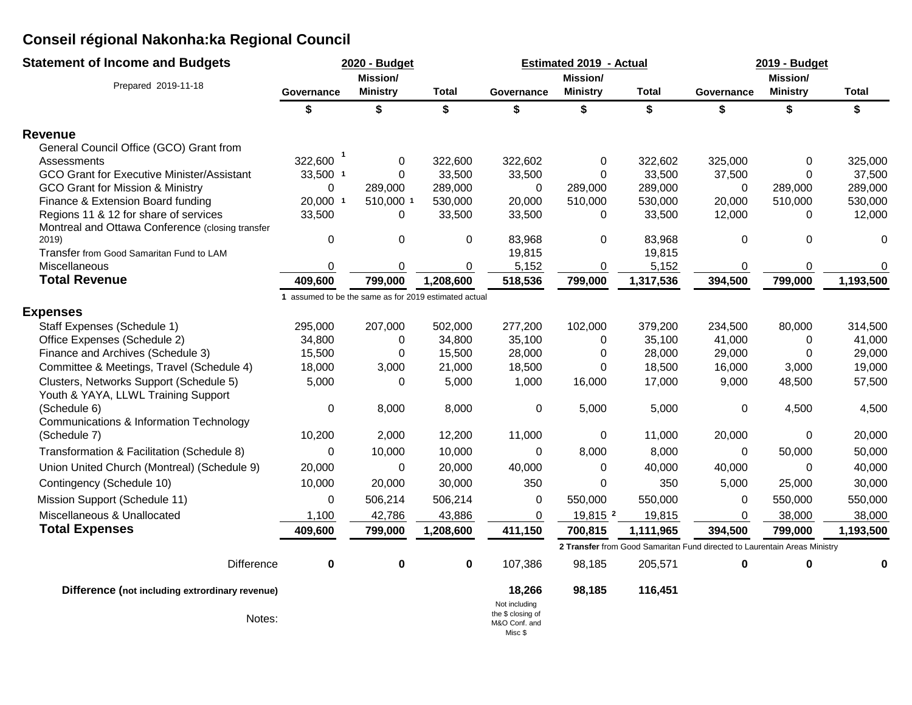| <b>Statement of Income and Budgets</b>                    |                                                       | 2020 - Budget    |           |                                                                | <b>Estimated 2019 - Actual</b> |              | 2019 - Budget                                                             |                 |             |  |
|-----------------------------------------------------------|-------------------------------------------------------|------------------|-----------|----------------------------------------------------------------|--------------------------------|--------------|---------------------------------------------------------------------------|-----------------|-------------|--|
| Prepared 2019-11-18                                       |                                                       | Mission/         |           |                                                                | <b>Mission/</b>                |              |                                                                           | Mission/        |             |  |
|                                                           | Governance                                            | <b>Ministry</b>  | Total     | Governance                                                     | <b>Ministry</b>                | <b>Total</b> | Governance                                                                | <b>Ministry</b> | Total       |  |
|                                                           | \$                                                    | \$               | \$        | \$                                                             | \$                             | \$           | \$                                                                        | \$              | \$          |  |
| <b>Revenue</b>                                            |                                                       |                  |           |                                                                |                                |              |                                                                           |                 |             |  |
| General Council Office (GCO) Grant from                   |                                                       |                  |           |                                                                |                                |              |                                                                           |                 |             |  |
| Assessments                                               | 322,600                                               | 0                | 322,600   | 322,602                                                        | 0                              | 322,602      | 325,000                                                                   | 0               | 325,000     |  |
| GCO Grant for Executive Minister/Assistant                | 33,500 1                                              | $\Omega$         | 33,500    | 33,500                                                         | $\Omega$                       | 33,500       | 37,500                                                                    | 0               | 37,500      |  |
| GCO Grant for Mission & Ministry                          | $\mathbf 0$                                           | 289,000          | 289,000   | 0                                                              | 289,000                        | 289,000      | $\mathbf 0$                                                               | 289,000         | 289,000     |  |
| Finance & Extension Board funding                         | 20,000 1                                              | 510,000 1        | 530,000   | 20,000                                                         | 510,000                        | 530,000      | 20,000                                                                    | 510,000         | 530,000     |  |
| Regions 11 & 12 for share of services                     | 33,500                                                | 0                | 33,500    | 33,500                                                         | 0                              | 33,500       | 12,000                                                                    | 0               | 12,000      |  |
| Montreal and Ottawa Conference (closing transfer<br>2019) | $\pmb{0}$                                             | $\mathbf 0$      | 0         | 83,968                                                         | $\Omega$                       | 83,968       | 0                                                                         | $\mathbf 0$     | $\Omega$    |  |
| Transfer from Good Samaritan Fund to LAM                  |                                                       |                  |           | 19,815                                                         |                                | 19,815       |                                                                           |                 |             |  |
| Miscellaneous                                             | $\boldsymbol{0}$                                      | 0                | 0         | 5,152                                                          | 0                              | 5,152        | 0                                                                         | 0               | 0           |  |
| <b>Total Revenue</b>                                      | 409,600                                               | 799,000          | 1,208,600 | 518,536                                                        | 799,000                        | 1,317,536    | 394,500                                                                   | 799,000         | 1,193,500   |  |
|                                                           | 1 assumed to be the same as for 2019 estimated actual |                  |           |                                                                |                                |              |                                                                           |                 |             |  |
| <b>Expenses</b>                                           |                                                       |                  |           |                                                                |                                |              |                                                                           |                 |             |  |
| Staff Expenses (Schedule 1)                               | 295,000                                               | 207,000          | 502,000   | 277,200                                                        | 102,000                        | 379,200      | 234,500                                                                   | 80,000          | 314,500     |  |
| Office Expenses (Schedule 2)                              | 34,800                                                | $\Omega$         | 34,800    | 35,100                                                         | $\Omega$                       | 35,100       | 41,000                                                                    | 0               | 41,000      |  |
| Finance and Archives (Schedule 3)                         | 15,500                                                | 0                | 15,500    | 28,000                                                         | 0                              | 28,000       | 29,000                                                                    | 0               | 29,000      |  |
| Committee & Meetings, Travel (Schedule 4)                 | 18,000                                                | 3,000            | 21,000    | 18,500                                                         | 0                              | 18,500       | 16,000                                                                    | 3,000           | 19,000      |  |
| Clusters, Networks Support (Schedule 5)                   | 5,000                                                 | 0                | 5,000     | 1,000                                                          | 16,000                         | 17,000       | 9,000                                                                     | 48,500          | 57,500      |  |
| Youth & YAYA, LLWL Training Support                       |                                                       |                  |           |                                                                |                                |              |                                                                           |                 |             |  |
| (Schedule 6)                                              | 0                                                     | 8,000            | 8,000     | 0                                                              | 5,000                          | 5,000        | 0                                                                         | 4,500           | 4,500       |  |
| Communications & Information Technology                   |                                                       |                  |           |                                                                |                                |              |                                                                           |                 |             |  |
| (Schedule 7)                                              | 10,200                                                | 2,000            | 12,200    | 11,000                                                         | 0                              | 11,000       | 20,000                                                                    | $\mathbf 0$     | 20,000      |  |
| Transformation & Facilitation (Schedule 8)                | $\pmb{0}$                                             | 10,000           | 10,000    | $\mathbf 0$                                                    | 8,000                          | 8,000        | $\Omega$                                                                  | 50,000          | 50,000      |  |
| Union United Church (Montreal) (Schedule 9)               | 20,000                                                | $\boldsymbol{0}$ | 20,000    | 40,000                                                         | 0                              | 40,000       | 40,000                                                                    | 0               | 40,000      |  |
| Contingency (Schedule 10)                                 | 10,000                                                | 20,000           | 30,000    | 350                                                            | 0                              | 350          | 5,000                                                                     | 25,000          | 30,000      |  |
| Mission Support (Schedule 11)                             | 0                                                     | 506,214          | 506,214   | 0                                                              | 550,000                        | 550,000      | 0                                                                         | 550,000         | 550,000     |  |
| Miscellaneous & Unallocated                               | 1,100                                                 | 42,786           | 43,886    | 0                                                              | 19,815 2                       | 19,815       | 0                                                                         | 38,000          | 38,000      |  |
| <b>Total Expenses</b>                                     | 409,600                                               | 799,000          | 1,208,600 | 411,150                                                        | 700,815                        | 1,111,965    | 394,500                                                                   | 799,000         | 1,193,500   |  |
|                                                           |                                                       |                  |           |                                                                |                                |              | 2 Transfer from Good Samaritan Fund directed to Laurentain Areas Ministry |                 |             |  |
| <b>Difference</b>                                         | $\pmb{0}$                                             | 0                | 0         | 107,386                                                        | 98,185                         | 205,571      | 0                                                                         | 0               | $\mathbf 0$ |  |
| Difference (not including extrordinary revenue)           |                                                       |                  |           | 18,266                                                         | 98,185                         | 116,451      |                                                                           |                 |             |  |
| Notes:                                                    |                                                       |                  |           | Not including<br>the \$ closing of<br>M&O Conf. and<br>Misc \$ |                                |              |                                                                           |                 |             |  |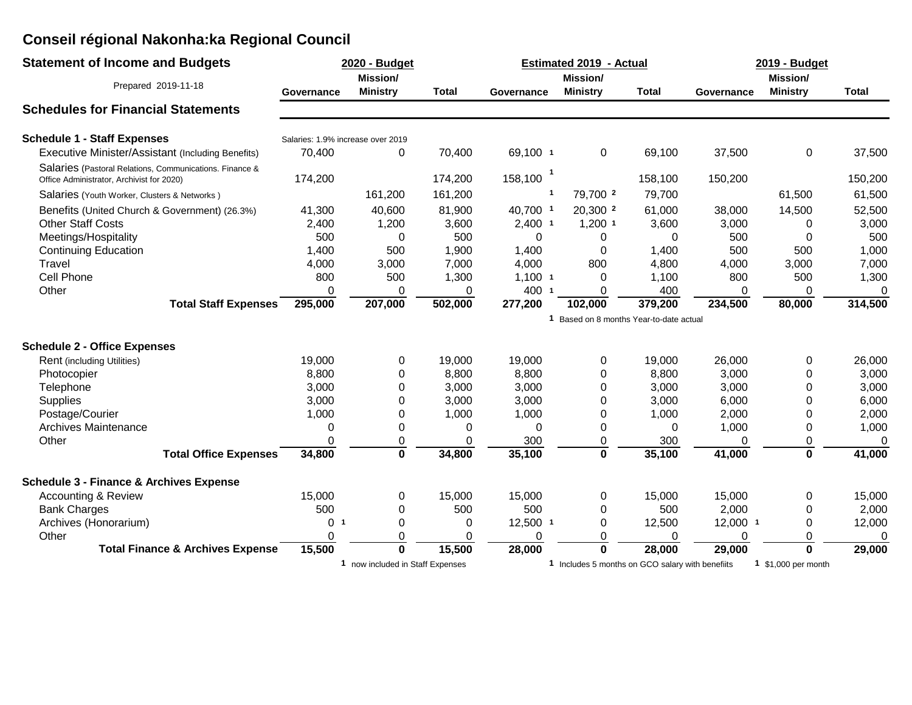| <b>Statement of Income and Budgets</b>                                                               |                                         | 2020 - Budget<br><b>Estimated 2019 - Actual</b> |                 |                     |                                                  |                 | 2019 - Budget   |                     |                 |
|------------------------------------------------------------------------------------------------------|-----------------------------------------|-------------------------------------------------|-----------------|---------------------|--------------------------------------------------|-----------------|-----------------|---------------------|-----------------|
|                                                                                                      | <b>Mission/</b>                         |                                                 |                 |                     | <b>Mission/</b>                                  |                 | <b>Mission/</b> |                     |                 |
| Prepared 2019-11-18                                                                                  | Governance                              | <b>Ministry</b>                                 | Total           | Governance          | <b>Ministry</b>                                  | <b>Total</b>    | Governance      | <b>Ministry</b>     | <b>Total</b>    |
| <b>Schedules for Financial Statements</b>                                                            |                                         |                                                 |                 |                     |                                                  |                 |                 |                     |                 |
| <b>Schedule 1 - Staff Expenses</b>                                                                   | Salaries: 1.9% increase over 2019       |                                                 |                 |                     |                                                  |                 |                 |                     |                 |
| Executive Minister/Assistant (Including Benefits)                                                    | 70,400                                  | 0                                               | 70,400          | 69,100 1            | 0                                                | 69,100          | 37,500          | 0                   | 37,500          |
| Salaries (Pastoral Relations, Communications. Finance &<br>Office Administrator, Archivist for 2020) | 174,200                                 |                                                 | 174,200         | 158,100             |                                                  | 158,100         | 150,200         |                     | 150,200         |
| Salaries (Youth Worker, Clusters & Networks)                                                         |                                         | 161,200                                         | 161,200         | $\mathbf{1}$        | 79,700 2                                         | 79,700          |                 | 61,500              | 61,500          |
| Benefits (United Church & Government) (26.3%)<br><b>Other Staff Costs</b>                            | 41,300<br>2,400                         | 40,600<br>1,200                                 | 81,900<br>3,600 | 40,700 1<br>2,400 1 | 20,300 <sup>2</sup><br>$1,200$ 1                 | 61,000<br>3,600 | 38,000<br>3,000 | 14,500<br>0         | 52,500<br>3,000 |
| Meetings/Hospitality                                                                                 | 500                                     | 0                                               | 500             | 0                   | 0                                                | 0               | 500             | $\Omega$            | 500             |
| <b>Continuing Education</b>                                                                          | 1,400                                   | 500                                             | 1,900           | 1,400               | 0                                                | 1,400           | 500             | 500                 | 1,000           |
| Travel                                                                                               | 4,000                                   | 3,000                                           | 7,000           | 4,000               | 800                                              | 4,800           | 4,000           | 3,000               | 7,000           |
| Cell Phone                                                                                           | 800                                     | 500                                             | 1,300           | $1,100$ 1           | 0                                                | 1,100           | 800             | 500                 | 1,300           |
| Other                                                                                                | $\Omega$                                | 0                                               | 0               | 400 1               | 0                                                | 400             | 0               | 0                   | $\Omega$        |
| <b>Total Staff Expenses</b>                                                                          | 295,000                                 | 207,000                                         | 502,000         | 277,200             | 102,000                                          | 379,200         | 234,500         | 80,000              | 314,500         |
|                                                                                                      | 1 Based on 8 months Year-to-date actual |                                                 |                 |                     |                                                  |                 |                 |                     |                 |
| <b>Schedule 2 - Office Expenses</b>                                                                  |                                         |                                                 |                 |                     |                                                  |                 |                 |                     |                 |
| Rent (including Utilities)                                                                           | 19,000                                  | 0                                               | 19,000          | 19,000              | 0                                                | 19,000          | 26,000          | 0                   | 26,000          |
| Photocopier                                                                                          | 8,800                                   | 0                                               | 8,800           | 8,800               | 0                                                | 8,800           | 3,000           | 0                   | 3,000           |
| Telephone                                                                                            | 3,000                                   | $\Omega$                                        | 3,000           | 3,000               | 0                                                | 3,000           | 3,000           | $\Omega$            | 3,000           |
| <b>Supplies</b>                                                                                      | 3,000                                   | 0                                               | 3,000           | 3,000               | 0                                                | 3,000           | 6,000           | $\Omega$            | 6,000           |
| Postage/Courier                                                                                      | 1,000                                   | 0                                               | 1,000           | 1,000               | 0                                                | 1,000           | 2,000           | 0                   | 2,000           |
| <b>Archives Maintenance</b>                                                                          | 0                                       | 0                                               | 0               | 0                   | 0                                                | 0               | 1,000           | 0                   | 1,000           |
| Other                                                                                                | $\Omega$                                | $\mathbf 0$                                     | 0               | 300                 | 0                                                | 300             | 0               | 0                   | 0               |
| <b>Total Office Expenses</b>                                                                         | 34,800                                  | $\bf{0}$                                        | 34,800          | 35,100              | 0                                                | 35,100          | 41,000          | $\mathbf 0$         | 41,000          |
| <b>Schedule 3 - Finance &amp; Archives Expense</b>                                                   |                                         |                                                 |                 |                     |                                                  |                 |                 |                     |                 |
| <b>Accounting &amp; Review</b>                                                                       | 15,000                                  | 0                                               | 15,000          | 15,000              | 0                                                | 15,000          | 15,000          | 0                   | 15,000          |
| <b>Bank Charges</b>                                                                                  | 500                                     | $\Omega$                                        | 500             | 500                 | 0                                                | 500             | 2,000           | 0                   | 2,000           |
| Archives (Honorarium)                                                                                | 0<br>-1                                 | $\Omega$                                        | 0               | 12,500 1            | 0                                                | 12,500          | 12,000 1        | 0                   | 12,000          |
| Other                                                                                                | 0                                       | $\Omega$                                        | 0               | 0                   | 0                                                | 0               | 0               | 0                   | 0               |
| <b>Total Finance &amp; Archives Expense</b>                                                          | 15,500                                  | $\bf{0}$                                        | 15,500          | 28,000              | 0                                                | 28,000          | 29,000          | $\mathbf 0$         | 29,000          |
|                                                                                                      |                                         | 1 now included in Staff Expenses                |                 |                     | 1 Includes 5 months on GCO salary with benefiits |                 |                 | 1 \$1,000 per month |                 |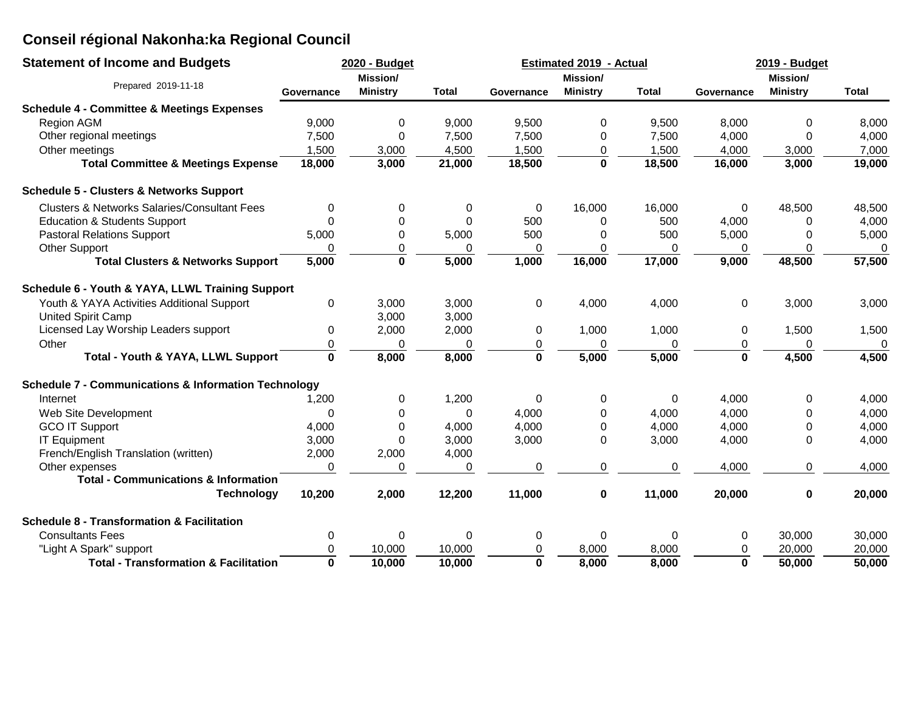| <b>Statement of Income and Budgets</b>                          | 2020 - Budget |                 |              |             | <b>Estimated 2019 - Actual</b> |              | 2019 - Budget |                 |              |  |
|-----------------------------------------------------------------|---------------|-----------------|--------------|-------------|--------------------------------|--------------|---------------|-----------------|--------------|--|
|                                                                 |               | Mission/        |              |             | <b>Mission/</b>                |              |               | <b>Mission/</b> |              |  |
| Prepared 2019-11-18                                             | Governance    | <b>Ministry</b> | <b>Total</b> | Governance  | <b>Ministry</b>                | <b>Total</b> | Governance    | <b>Ministry</b> | <b>Total</b> |  |
| <b>Schedule 4 - Committee &amp; Meetings Expenses</b>           |               |                 |              |             |                                |              |               |                 |              |  |
| <b>Region AGM</b>                                               | 9,000         | 0               | 9,000        | 9,500       | 0                              | 9,500        | 8,000         | 0               | 8,000        |  |
| Other regional meetings                                         | 7,500         | 0               | 7,500        | 7,500       | 0                              | 7,500        | 4,000         | $\Omega$        | 4,000        |  |
| Other meetings                                                  | 1,500         | 3,000           | 4,500        | 1,500       | 0                              | 1,500        | 4,000         | 3,000           | 7,000        |  |
| <b>Total Committee &amp; Meetings Expense</b>                   | 18,000        | 3,000           | 21,000       | 18,500      | $\bf{0}$                       | 18,500       | 16,000        | 3,000           | 19,000       |  |
| <b>Schedule 5 - Clusters &amp; Networks Support</b>             |               |                 |              |             |                                |              |               |                 |              |  |
| <b>Clusters &amp; Networks Salaries/Consultant Fees</b>         | 0             | 0               | 0            | 0           | 16,000                         | 16,000       | 0             | 48,500          | 48,500       |  |
| <b>Education &amp; Students Support</b>                         | 0             | 0               | $\Omega$     | 500         | 0                              | 500          | 4,000         | 0               | 4,000        |  |
| <b>Pastoral Relations Support</b>                               | 5,000         | 0               | 5,000        | 500         | 0                              | 500          | 5,000         | 0               | 5,000        |  |
| <b>Other Support</b>                                            |               | 0               | 0            | 0           | 0                              | 0            | 0             | 0               | 0            |  |
| <b>Total Clusters &amp; Networks Support</b>                    | 5,000         | $\bf{0}$        | 5,000        | 1,000       | 16,000                         | 17,000       | 9,000         | 48,500          | 57,500       |  |
| Schedule 6 - Youth & YAYA, LLWL Training Support                |               |                 |              |             |                                |              |               |                 |              |  |
| Youth & YAYA Activities Additional Support                      | 0             | 3,000           | 3,000        | 0           | 4,000                          | 4,000        | $\mathbf 0$   | 3,000           | 3,000        |  |
| United Spirit Camp                                              |               | 3,000           | 3,000        |             |                                |              |               |                 |              |  |
| Licensed Lay Worship Leaders support                            | 0             | 2,000           | 2,000        | 0           | 1,000                          | 1,000        | 0             | 1,500           | 1,500        |  |
| Other                                                           | 0             | 0               | $\Omega$     | 0           | 0                              | 0            | 0             | 0               | 0            |  |
| Total - Youth & YAYA, LLWL Support                              | $\mathbf 0$   | 8,000           | 8,000        | $\mathbf 0$ | 5,000                          | 5,000        | $\mathbf 0$   | 4,500           | 4,500        |  |
| <b>Schedule 7 - Communications &amp; Information Technology</b> |               |                 |              |             |                                |              |               |                 |              |  |
| Internet                                                        | 1,200         | 0               | 1,200        | $\Omega$    | 0                              | 0            | 4,000         | 0               | 4,000        |  |
| Web Site Development                                            | $\Omega$      | $\Omega$        | $\Omega$     | 4,000       | $\Omega$                       | 4,000        | 4,000         | $\mathbf 0$     | 4,000        |  |
| <b>GCO IT Support</b>                                           | 4,000         | 0               | 4,000        | 4,000       | 0                              | 4,000        | 4,000         | 0               | 4,000        |  |
| <b>IT Equipment</b>                                             | 3,000         | 0               | 3,000        | 3,000       | $\Omega$                       | 3,000        | 4,000         | 0               | 4,000        |  |
| French/English Translation (written)                            | 2,000         | 2,000           | 4,000        |             |                                |              |               |                 |              |  |
| Other expenses                                                  | 0             | 0               | 0            | 0           | 0                              | 0            | 4,000         | 0               | 4,000        |  |
| <b>Total - Communications &amp; Information</b>                 |               |                 |              |             |                                |              |               |                 |              |  |
| <b>Technology</b>                                               | 10,200        | 2,000           | 12,200       | 11,000      | $\pmb{0}$                      | 11,000       | 20,000        | 0               | 20,000       |  |
| <b>Schedule 8 - Transformation &amp; Facilitation</b>           |               |                 |              |             |                                |              |               |                 |              |  |
| <b>Consultants Fees</b>                                         | 0             | 0               | 0            | 0           | 0                              | 0            | 0             | 30,000          | 30,000       |  |
| "Light A Spark" support                                         | 0             | 10,000          | 10,000       | 0           | 8,000                          | 8,000        | 0             | 20,000          | 20,000       |  |
| <b>Total - Transformation &amp; Facilitation</b>                | $\bf{0}$      | 10,000          | 10,000       | $\mathbf 0$ | 8,000                          | 8,000        | $\mathbf 0$   | 50,000          | 50,000       |  |